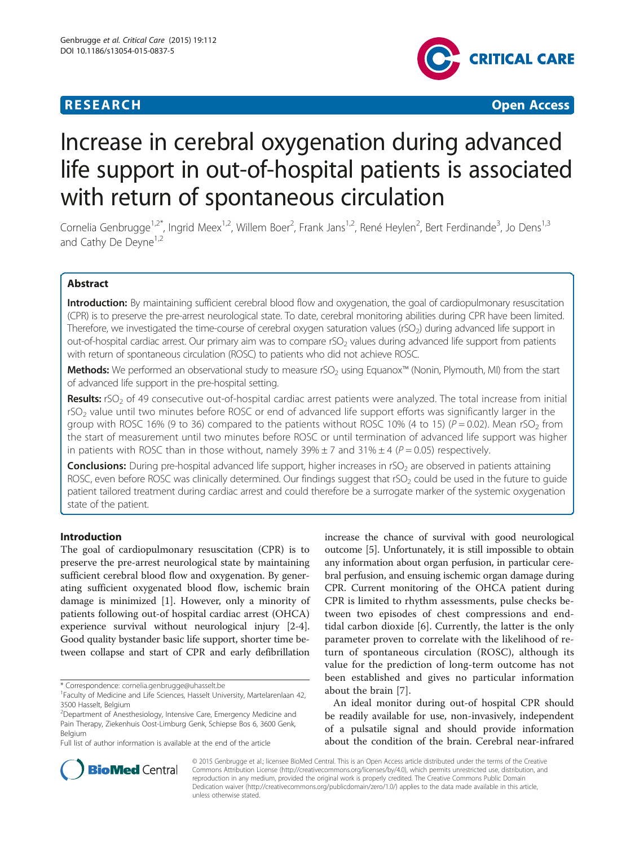# **RESEARCH CHINESE ARCH CHINESE ARCH CHINESE ARCH**



# Increase in cerebral oxygenation during advanced life support in out-of-hospital patients is associated with return of spontaneous circulation

Cornelia Genbrugge<sup>1,2\*</sup>, Ingrid Meex<sup>1,2</sup>, Willem Boer<sup>2</sup>, Frank Jans<sup>1,2</sup>, René Heylen<sup>2</sup>, Bert Ferdinande<sup>3</sup>, Jo Dens<sup>1,3</sup> and Cathy De Devne<sup>1,2</sup>

# Abstract

Introduction: By maintaining sufficient cerebral blood flow and oxygenation, the goal of cardiopulmonary resuscitation (CPR) is to preserve the pre-arrest neurological state. To date, cerebral monitoring abilities during CPR have been limited. Therefore, we investigated the time-course of cerebral oxygen saturation values (rSO<sub>2</sub>) during advanced life support in out-of-hospital cardiac arrest. Our primary aim was to compare rSO<sub>2</sub> values during advanced life support from patients with return of spontaneous circulation (ROSC) to patients who did not achieve ROSC.

**Methods:** We performed an observational study to measure rSO<sub>2</sub> using Equanox™ (Nonin, Plymouth, MI) from the start of advanced life support in the pre-hospital setting.

Results: rSO<sub>2</sub> of 49 consecutive out-of-hospital cardiac arrest patients were analyzed. The total increase from initial  $rSO<sub>2</sub>$  value until two minutes before ROSC or end of advanced life support efforts was significantly larger in the group with ROSC 16% (9 to 36) compared to the patients without ROSC 10% (4 to 15) ( $P = 0.02$ ). Mean rSO<sub>2</sub> from the start of measurement until two minutes before ROSC or until termination of advanced life support was higher in patients with ROSC than in those without, namely  $39\% \pm 7$  and  $31\% \pm 4$  ( $P = 0.05$ ) respectively.

**Conclusions:** During pre-hospital advanced life support, higher increases in rSO<sub>2</sub> are observed in patients attaining ROSC, even before ROSC was clinically determined. Our findings suggest that rSO<sub>2</sub> could be used in the future to guide patient tailored treatment during cardiac arrest and could therefore be a surrogate marker of the systemic oxygenation state of the patient.

# Introduction

The goal of cardiopulmonary resuscitation (CPR) is to preserve the pre-arrest neurological state by maintaining sufficient cerebral blood flow and oxygenation. By generating sufficient oxygenated blood flow, ischemic brain damage is minimized [[1](#page-6-0)]. However, only a minority of patients following out-of hospital cardiac arrest (OHCA) experience survival without neurological injury [\[2](#page-6-0)-[4](#page-6-0)]. Good quality bystander basic life support, shorter time between collapse and start of CPR and early defibrillation

\* Correspondence: [cornelia.genbrugge@uhasselt.be](mailto:cornelia.genbrugge@uhasselt.be) <sup>1</sup>

Full list of author information is available at the end of the article

increase the chance of survival with good neurological outcome [\[5](#page-6-0)]. Unfortunately, it is still impossible to obtain any information about organ perfusion, in particular cerebral perfusion, and ensuing ischemic organ damage during CPR. Current monitoring of the OHCA patient during CPR is limited to rhythm assessments, pulse checks between two episodes of chest compressions and endtidal carbon dioxide [[6\]](#page-6-0). Currently, the latter is the only parameter proven to correlate with the likelihood of return of spontaneous circulation (ROSC), although its value for the prediction of long-term outcome has not been established and gives no particular information about the brain [\[7](#page-6-0)].

An ideal monitor during out-of hospital CPR should be readily available for use, non-invasively, independent of a pulsatile signal and should provide information about the condition of the brain. Cerebral near-infrared



© 2015 Genbrugge et al.; licensee BioMed Central. This is an Open Access article distributed under the terms of the Creative Commons Attribution License [\(http://creativecommons.org/licenses/by/4.0\)](http://creativecommons.org/licenses/by/4.0), which permits unrestricted use, distribution, and reproduction in any medium, provided the original work is properly credited. The Creative Commons Public Domain Dedication waiver [\(http://creativecommons.org/publicdomain/zero/1.0/](http://creativecommons.org/publicdomain/zero/1.0/)) applies to the data made available in this article, unless otherwise stated.

<sup>&</sup>lt;sup>1</sup> Faculty of Medicine and Life Sciences, Hasselt University, Martelarenlaan 42, 3500 Hasselt, Belgium

<sup>&</sup>lt;sup>2</sup>Department of Anesthesiology, Intensive Care, Emergency Medicine and Pain Therapy, Ziekenhuis Oost-Limburg Genk, Schiepse Bos 6, 3600 Genk, Belgium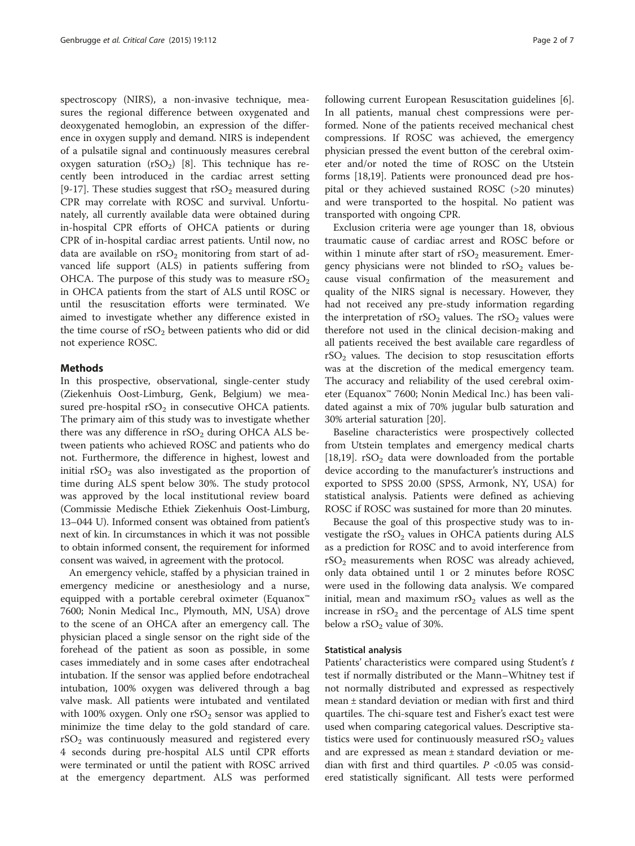spectroscopy (NIRS), a non-invasive technique, measures the regional difference between oxygenated and deoxygenated hemoglobin, an expression of the difference in oxygen supply and demand. NIRS is independent of a pulsatile signal and continuously measures cerebral oxygen saturation  $(rSO<sub>2</sub>)$  [\[8](#page-6-0)]. This technique has recently been introduced in the cardiac arrest setting [[9-17](#page-6-0)]. These studies suggest that  $rSO<sub>2</sub>$  measured during CPR may correlate with ROSC and survival. Unfortunately, all currently available data were obtained during in-hospital CPR efforts of OHCA patients or during CPR of in-hospital cardiac arrest patients. Until now, no data are available on  $rSO<sub>2</sub>$  monitoring from start of advanced life support (ALS) in patients suffering from OHCA. The purpose of this study was to measure  $rSO<sub>2</sub>$ in OHCA patients from the start of ALS until ROSC or until the resuscitation efforts were terminated. We aimed to investigate whether any difference existed in the time course of  $rSO<sub>2</sub>$  between patients who did or did not experience ROSC.

# Methods

In this prospective, observational, single-center study (Ziekenhuis Oost-Limburg, Genk, Belgium) we measured pre-hospital  $rSO<sub>2</sub>$  in consecutive OHCA patients. The primary aim of this study was to investigate whether there was any difference in  $rSO<sub>2</sub>$  during OHCA ALS between patients who achieved ROSC and patients who do not. Furthermore, the difference in highest, lowest and initial  $rSO<sub>2</sub>$  was also investigated as the proportion of time during ALS spent below 30%. The study protocol was approved by the local institutional review board (Commissie Medische Ethiek Ziekenhuis Oost-Limburg, 13–044 U). Informed consent was obtained from patient's next of kin. In circumstances in which it was not possible to obtain informed consent, the requirement for informed consent was waived, in agreement with the protocol.

An emergency vehicle, staffed by a physician trained in emergency medicine or anesthesiology and a nurse, equipped with a portable cerebral oximeter (Equanox™ 7600; Nonin Medical Inc., Plymouth, MN, USA) drove to the scene of an OHCA after an emergency call. The physician placed a single sensor on the right side of the forehead of the patient as soon as possible, in some cases immediately and in some cases after endotracheal intubation. If the sensor was applied before endotracheal intubation, 100% oxygen was delivered through a bag valve mask. All patients were intubated and ventilated with 100% oxygen. Only one  $rSO<sub>2</sub>$  sensor was applied to minimize the time delay to the gold standard of care.  $rSO<sub>2</sub>$  was continuously measured and registered every 4 seconds during pre-hospital ALS until CPR efforts were terminated or until the patient with ROSC arrived at the emergency department. ALS was performed

following current European Resuscitation guidelines [\[6](#page-6-0)]. In all patients, manual chest compressions were performed. None of the patients received mechanical chest compressions. If ROSC was achieved, the emergency physician pressed the event button of the cerebral oximeter and/or noted the time of ROSC on the Utstein forms [[18](#page-6-0),[19](#page-6-0)]. Patients were pronounced dead pre hospital or they achieved sustained ROSC (>20 minutes) and were transported to the hospital. No patient was transported with ongoing CPR.

Exclusion criteria were age younger than 18, obvious traumatic cause of cardiac arrest and ROSC before or within 1 minute after start of  $rSO<sub>2</sub>$  measurement. Emergency physicians were not blinded to  $rSO<sub>2</sub>$  values because visual confirmation of the measurement and quality of the NIRS signal is necessary. However, they had not received any pre-study information regarding the interpretation of  $rSO_2$  values. The  $rSO_2$  values were therefore not used in the clinical decision-making and all patients received the best available care regardless of  $rSO<sub>2</sub>$  values. The decision to stop resuscitation efforts was at the discretion of the medical emergency team. The accuracy and reliability of the used cerebral oximeter (Equanox™ 7600; Nonin Medical Inc.) has been validated against a mix of 70% jugular bulb saturation and 30% arterial saturation [\[20](#page-6-0)].

Baseline characteristics were prospectively collected from Utstein templates and emergency medical charts [[18,19\]](#page-6-0).  $rSO<sub>2</sub>$  data were downloaded from the portable device according to the manufacturer's instructions and exported to SPSS 20.00 (SPSS, Armonk, NY, USA) for statistical analysis. Patients were defined as achieving ROSC if ROSC was sustained for more than 20 minutes.

Because the goal of this prospective study was to investigate the  $rSO<sub>2</sub>$  values in OHCA patients during ALS as a prediction for ROSC and to avoid interference from  $rSO<sub>2</sub>$  measurements when ROSC was already achieved, only data obtained until 1 or 2 minutes before ROSC were used in the following data analysis. We compared initial, mean and maximum  $rSO<sub>2</sub>$  values as well as the increase in  $rSO<sub>2</sub>$  and the percentage of ALS time spent below a  $rSO<sub>2</sub>$  value of 30%.

# Statistical analysis

Patients' characteristics were compared using Student's t test if normally distributed or the Mann–Whitney test if not normally distributed and expressed as respectively mean ± standard deviation or median with first and third quartiles. The chi-square test and Fisher's exact test were used when comparing categorical values. Descriptive statistics were used for continuously measured  $rSO<sub>2</sub>$  values and are expressed as mean ± standard deviation or median with first and third quartiles.  $P < 0.05$  was considered statistically significant. All tests were performed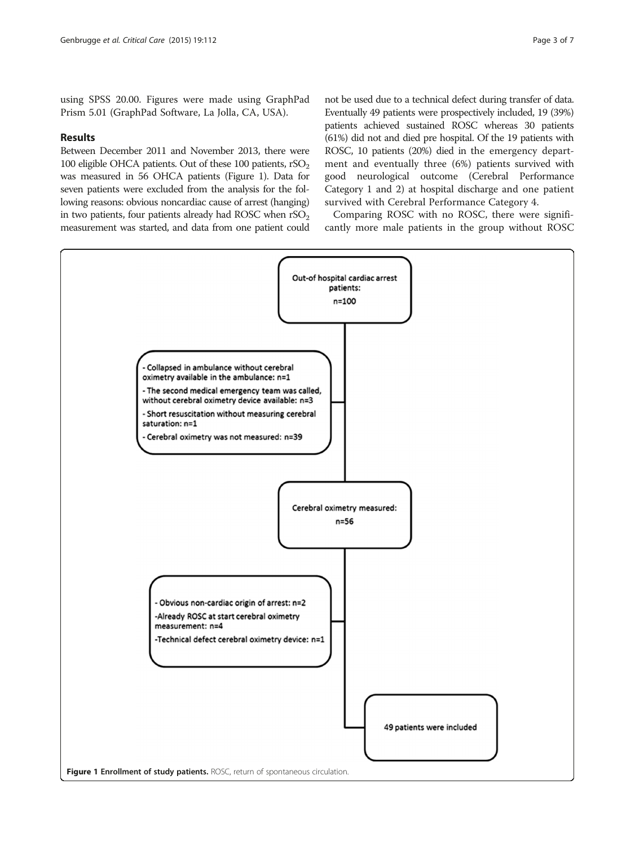using SPSS 20.00. Figures were made using GraphPad Prism 5.01 (GraphPad Software, La Jolla, CA, USA).

# Results

Between December 2011 and November 2013, there were 100 eligible OHCA patients. Out of these 100 patients,  $rSO<sub>2</sub>$ was measured in 56 OHCA patients (Figure 1). Data for seven patients were excluded from the analysis for the following reasons: obvious noncardiac cause of arrest (hanging) in two patients, four patients already had ROSC when  $rSO<sub>2</sub>$ measurement was started, and data from one patient could

not be used due to a technical defect during transfer of data. Eventually 49 patients were prospectively included, 19 (39%) patients achieved sustained ROSC whereas 30 patients (61%) did not and died pre hospital. Of the 19 patients with ROSC, 10 patients (20%) died in the emergency department and eventually three (6%) patients survived with good neurological outcome (Cerebral Performance Category 1 and 2) at hospital discharge and one patient survived with Cerebral Performance Category 4.

Comparing ROSC with no ROSC, there were significantly more male patients in the group without ROSC

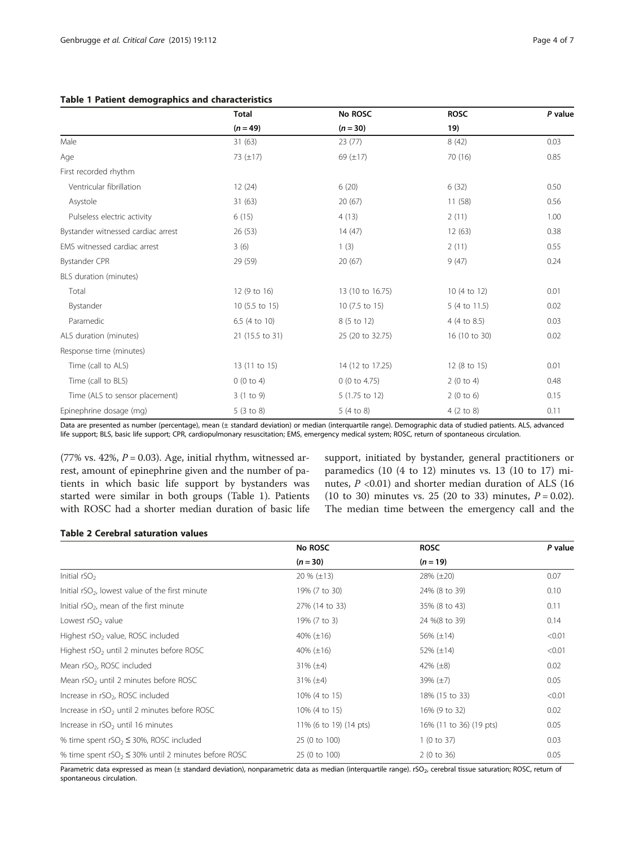## <span id="page-3-0"></span>Table 1 Patient demographics and characteristics

|                                    | <b>Total</b><br>$(n = 49)$ | No ROSC<br>$(n = 30)$ | <b>ROSC</b><br>19)   | P value |
|------------------------------------|----------------------------|-----------------------|----------------------|---------|
|                                    |                            |                       |                      |         |
| Male                               | 31(63)                     | 23(77)                | 8(42)                | 0.03    |
| Age                                | 73 $(\pm 17)$              | 69 $(\pm 17)$         | 70 (16)              | 0.85    |
| First recorded rhythm              |                            |                       |                      |         |
| Ventricular fibrillation           | 12(24)                     | 6(20)                 | 6(32)                | 0.50    |
| Asystole                           | 31(63)                     | 20(67)                | 11(58)               | 0.56    |
| Pulseless electric activity        | 6(15)                      | 4(13)                 | 2(11)                | 1.00    |
| Bystander witnessed cardiac arrest | 26(53)                     | 14(47)                | 12(63)               | 0.38    |
| EMS witnessed cardiac arrest       | 3(6)                       | 1(3)                  | 2(11)                | 0.55    |
| Bystander CPR                      | 29 (59)                    | 20(67)                | 9(47)                | 0.24    |
| BLS duration (minutes)             |                            |                       |                      |         |
| Total                              | 12 (9 to 16)               | 13 (10 to 16.75)      | 10 (4 to 12)         | 0.01    |
| Bystander                          | 10 (5.5 to 15)             | 10 (7.5 to 15)        | 5 (4 to 11.5)        | 0.02    |
| Paramedic                          | 6.5 (4 to 10)              | 8 (5 to 12)           | 4 (4 to 8.5)         | 0.03    |
| ALS duration (minutes)             | 21 (15.5 to 31)            | 25 (20 to 32.75)      | 16 (10 to 30)        | 0.02    |
| Response time (minutes)            |                            |                       |                      |         |
| Time (call to ALS)                 | 13 (11 to 15)              | 14 (12 to 17.25)      | 12 (8 to 15)         | 0.01    |
| Time (call to BLS)                 | 0(0 to 4)                  | 0(0 to 4.75)          | 2(0 to 4)            | 0.48    |
| Time (ALS to sensor placement)     | 3(1 to 9)                  | 5 (1.75 to 12)        | 2(0 to 6)            | 0.15    |
| Epinephrine dosage (mg)            | 5(3 to 8)                  | 5(4 to 8)             | $4(2 \text{ to } 8)$ | 0.11    |

Data are presented as number (percentage), mean (± standard deviation) or median (interquartile range). Demographic data of studied patients. ALS, advanced life support; BLS, basic life support; CPR, cardiopulmonary resuscitation; EMS, emergency medical system; ROSC, return of spontaneous circulation.

(77% vs. 42%,  $P = 0.03$ ). Age, initial rhythm, witnessed arrest, amount of epinephrine given and the number of patients in which basic life support by bystanders was started were similar in both groups (Table 1). Patients with ROSC had a shorter median duration of basic life support, initiated by bystander, general practitioners or paramedics (10 (4 to 12) minutes vs. 13 (10 to 17) minutes,  $P \le 0.01$ ) and shorter median duration of ALS (16 (10 to 30) minutes vs. 25 (20 to 33) minutes,  $P = 0.02$ ). The median time between the emergency call and the

# Table 2 Cerebral saturation values

|                                                            | No ROSC                | <b>ROSC</b>             | P value |
|------------------------------------------------------------|------------------------|-------------------------|---------|
|                                                            | $(n = 30)$             | $(n = 19)$              |         |
| Initial $rSO2$                                             | $20 \% (\pm 13)$       | $28\% (\pm 20)$         | 0.07    |
| Initial $rSO2$ , lowest value of the first minute          | 19% (7 to 30)          | 24% (8 to 39)           | 0.10    |
| Initial $rSO2$ , mean of the first minute                  | 27% (14 to 33)         | 35% (8 to 43)           | 0.11    |
| Lowest rSO <sub>2</sub> value                              | 19% (7 to 3)           | 24 %(8 to 39)           | 0.14    |
| Highest rSO <sub>2</sub> value, ROSC included              | 40% $(\pm 16)$         | 56% $(\pm 14)$          | < 0.01  |
| Highest rSO <sub>2</sub> until 2 minutes before ROSC       | 40% $(\pm 16)$         | 52% $(\pm 14)$          | < 0.01  |
| Mean rSO <sub>2</sub> , ROSC included                      | $31\% (\pm 4)$         | 42% $(\pm 8)$           | 0.02    |
| Mean rSO <sub>2</sub> until 2 minutes before ROSC          | $31\% (\pm 4)$         | $39\% (\pm 7)$          | 0.05    |
| Increase in rSO <sub>2</sub> , ROSC included               | 10% (4 to 15)          | 18% (15 to 33)          | < 0.01  |
| Increase in rSO <sub>2</sub> until 2 minutes before ROSC   | 10% (4 to 15)          | 16% (9 to 32)           | 0.02    |
| Increase in $rSO2$ until 16 minutes                        | 11% (6 to 19) (14 pts) | 16% (11 to 36) (19 pts) | 0.05    |
| % time spent $rSO_2 \leq 30$ %, ROSC included              | 25 (0 to 100)          | 1(0 to 37)              | 0.03    |
| % time spent $rSO_2 \leq 30\%$ until 2 minutes before ROSC | 25 (0 to 100)          | 2(0 to 36)              | 0.05    |

Parametric data expressed as mean ( $\pm$  standard deviation), nonparametric data as median (interquartile range). rSO<sub>2</sub>, cerebral tissue saturation; ROSC, return of spontaneous circulation.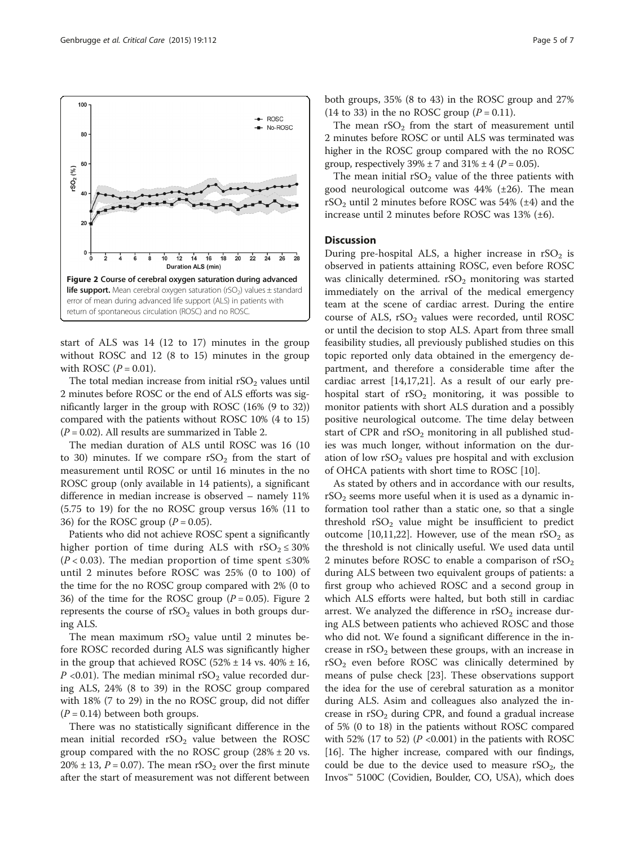

start of ALS was 14 (12 to 17) minutes in the group without ROSC and 12 (8 to 15) minutes in the group with ROSC  $(P = 0.01)$ .

The total median increase from initial  $rSO<sub>2</sub>$  values until 2 minutes before ROSC or the end of ALS efforts was significantly larger in the group with ROSC (16% (9 to 32)) compared with the patients without ROSC 10% (4 to 15)  $(P = 0.02)$ . All results are summarized in Table [2](#page-3-0).

The median duration of ALS until ROSC was 16 (10 to 30) minutes. If we compare  $rSO_2$  from the start of measurement until ROSC or until 16 minutes in the no ROSC group (only available in 14 patients), a significant difference in median increase is observed – namely 11% (5.75 to 19) for the no ROSC group versus 16% (11 to 36) for the ROSC group  $(P = 0.05)$ .

Patients who did not achieve ROSC spent a significantly higher portion of time during ALS with  $rSO_2 \leq 30\%$  $(P < 0.03)$ . The median proportion of time spent ≤30% until 2 minutes before ROSC was 25% (0 to 100) of the time for the no ROSC group compared with 2% (0 to 36) of the time for the ROSC group ( $P = 0.05$ ). Figure 2 represents the course of  $rSO<sub>2</sub>$  values in both groups during ALS.

The mean maximum  $rSO<sub>2</sub>$  value until 2 minutes before ROSC recorded during ALS was significantly higher in the group that achieved ROSC  $(52\% \pm 14 \text{ vs. } 40\% \pm 16,$  $P$  <0.01). The median minimal rSO<sub>2</sub> value recorded during ALS, 24% (8 to 39) in the ROSC group compared with 18% (7 to 29) in the no ROSC group, did not differ  $(P = 0.14)$  between both groups.

There was no statistically significant difference in the mean initial recorded  $rSO<sub>2</sub>$  value between the ROSC group compared with the no ROSC group  $(28\% \pm 20 \text{ vs.})$ 20%  $\pm$  13, P = 0.07). The mean rSO<sub>2</sub> over the first minute after the start of measurement was not different between

both groups, 35% (8 to 43) in the ROSC group and 27% (14 to 33) in the no ROSC group  $(P = 0.11)$ .

The mean  $rSO<sub>2</sub>$  from the start of measurement until 2 minutes before ROSC or until ALS was terminated was higher in the ROSC group compared with the no ROSC group, respectively  $39\% \pm 7$  and  $31\% \pm 4$  ( $P = 0.05$ ).

The mean initial  $rSO<sub>2</sub>$  value of the three patients with good neurological outcome was 44% (±26). The mean  $rSO<sub>2</sub>$  until 2 minutes before ROSC was 54% ( $\pm$ 4) and the increase until 2 minutes before ROSC was 13% (±6).

# **Discussion**

During pre-hospital ALS, a higher increase in  $rSO<sub>2</sub>$  is observed in patients attaining ROSC, even before ROSC was clinically determined.  $rSO_2$  monitoring was started immediately on the arrival of the medical emergency team at the scene of cardiac arrest. During the entire course of ALS,  $rSO<sub>2</sub>$  values were recorded, until ROSC or until the decision to stop ALS. Apart from three small feasibility studies, all previously published studies on this topic reported only data obtained in the emergency department, and therefore a considerable time after the cardiac arrest [[14](#page-6-0),[17](#page-6-0),[21](#page-6-0)]. As a result of our early prehospital start of  $rSO<sub>2</sub>$  monitoring, it was possible to monitor patients with short ALS duration and a possibly positive neurological outcome. The time delay between start of CPR and  $rSO<sub>2</sub>$  monitoring in all published studies was much longer, without information on the duration of low  $rSO<sub>2</sub>$  values pre hospital and with exclusion of OHCA patients with short time to ROSC [[10](#page-6-0)].

As stated by others and in accordance with our results,  $rSO<sub>2</sub>$  seems more useful when it is used as a dynamic information tool rather than a static one, so that a single threshold  $rSO<sub>2</sub>$  value might be insufficient to predict outcome [[10,11](#page-6-0),[22](#page-6-0)]. However, use of the mean  $rSO_2$  as the threshold is not clinically useful. We used data until 2 minutes before ROSC to enable a comparison of  $rSO<sub>2</sub>$ during ALS between two equivalent groups of patients: a first group who achieved ROSC and a second group in which ALS efforts were halted, but both still in cardiac arrest. We analyzed the difference in  $rSO<sub>2</sub>$  increase during ALS between patients who achieved ROSC and those who did not. We found a significant difference in the increase in  $rSO<sub>2</sub>$  between these groups, with an increase in  $rSO<sub>2</sub>$  even before ROSC was clinically determined by means of pulse check [[23\]](#page-6-0). These observations support the idea for the use of cerebral saturation as a monitor during ALS. Asim and colleagues also analyzed the increase in  $rSO<sub>2</sub>$  during CPR, and found a gradual increase of 5% (0 to 18) in the patients without ROSC compared with 52% (17 to 52) ( $P$  <0.001) in the patients with ROSC [[16](#page-6-0)]. The higher increase, compared with our findings, could be due to the device used to measure  $rSO_2$ , the Invos™ 5100C (Covidien, Boulder, CO, USA), which does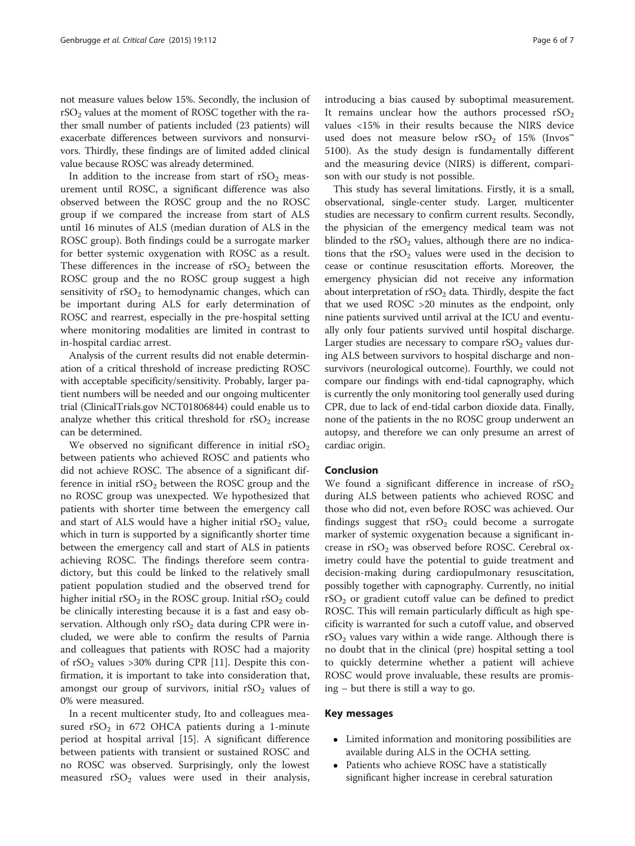not measure values below 15%. Secondly, the inclusion of  $rSO<sub>2</sub>$  values at the moment of ROSC together with the rather small number of patients included (23 patients) will exacerbate differences between survivors and nonsurvivors. Thirdly, these findings are of limited added clinical value because ROSC was already determined.

In addition to the increase from start of  $rSO<sub>2</sub>$  measurement until ROSC, a significant difference was also observed between the ROSC group and the no ROSC group if we compared the increase from start of ALS until 16 minutes of ALS (median duration of ALS in the ROSC group). Both findings could be a surrogate marker for better systemic oxygenation with ROSC as a result. These differences in the increase of  $rSO<sub>2</sub>$  between the ROSC group and the no ROSC group suggest a high sensitivity of  $rSO<sub>2</sub>$  to hemodynamic changes, which can be important during ALS for early determination of ROSC and rearrest, especially in the pre-hospital setting where monitoring modalities are limited in contrast to in-hospital cardiac arrest.

Analysis of the current results did not enable determination of a critical threshold of increase predicting ROSC with acceptable specificity/sensitivity. Probably, larger patient numbers will be needed and our ongoing multicenter trial (ClinicalTrials.gov NCT01806844) could enable us to analyze whether this critical threshold for  $rSO<sub>2</sub>$  increase can be determined.

We observed no significant difference in initial  $rSO<sub>2</sub>$ between patients who achieved ROSC and patients who did not achieve ROSC. The absence of a significant difference in initial  $rSO<sub>2</sub>$  between the ROSC group and the no ROSC group was unexpected. We hypothesized that patients with shorter time between the emergency call and start of ALS would have a higher initial  $rSO<sub>2</sub>$  value, which in turn is supported by a significantly shorter time between the emergency call and start of ALS in patients achieving ROSC. The findings therefore seem contradictory, but this could be linked to the relatively small patient population studied and the observed trend for higher initial  $rSO_2$  in the ROSC group. Initial  $rSO_2$  could be clinically interesting because it is a fast and easy observation. Although only  $rSO<sub>2</sub>$  data during CPR were included, we were able to confirm the results of Parnia and colleagues that patients with ROSC had a majority of  $rSO<sub>2</sub>$  values >30% during CPR [[11\]](#page-6-0). Despite this confirmation, it is important to take into consideration that, amongst our group of survivors, initial  $rSO<sub>2</sub>$  values of 0% were measured.

In a recent multicenter study, Ito and colleagues measured  $rSO_2$  in 672 OHCA patients during a 1-minute period at hospital arrival [\[15](#page-6-0)]. A significant difference between patients with transient or sustained ROSC and no ROSC was observed. Surprisingly, only the lowest measured  $rSO<sub>2</sub>$  values were used in their analysis, introducing a bias caused by suboptimal measurement. It remains unclear how the authors processed  $rSO<sub>2</sub>$ values <15% in their results because the NIRS device used does not measure below rSO<sub>2</sub> of 15% (Invos<sup>™</sup> 5100). As the study design is fundamentally different and the measuring device (NIRS) is different, comparison with our study is not possible.

This study has several limitations. Firstly, it is a small, observational, single-center study. Larger, multicenter studies are necessary to confirm current results. Secondly, the physician of the emergency medical team was not blinded to the  $rSO<sub>2</sub>$  values, although there are no indications that the  $rSO<sub>2</sub>$  values were used in the decision to cease or continue resuscitation efforts. Moreover, the emergency physician did not receive any information about interpretation of  $rSO<sub>2</sub>$  data. Thirdly, despite the fact that we used ROSC >20 minutes as the endpoint, only nine patients survived until arrival at the ICU and eventually only four patients survived until hospital discharge. Larger studies are necessary to compare  $rSO<sub>2</sub>$  values during ALS between survivors to hospital discharge and nonsurvivors (neurological outcome). Fourthly, we could not compare our findings with end-tidal capnography, which is currently the only monitoring tool generally used during CPR, due to lack of end-tidal carbon dioxide data. Finally, none of the patients in the no ROSC group underwent an autopsy, and therefore we can only presume an arrest of cardiac origin.

#### Conclusion

We found a significant difference in increase of  $rSO<sub>2</sub>$ during ALS between patients who achieved ROSC and those who did not, even before ROSC was achieved. Our findings suggest that  $rSO<sub>2</sub>$  could become a surrogate marker of systemic oxygenation because a significant increase in  $rSO<sub>2</sub>$  was observed before ROSC. Cerebral oximetry could have the potential to guide treatment and decision-making during cardiopulmonary resuscitation, possibly together with capnography. Currently, no initial  $rSO<sub>2</sub>$  or gradient cutoff value can be defined to predict ROSC. This will remain particularly difficult as high specificity is warranted for such a cutoff value, and observed  $rSO<sub>2</sub>$  values vary within a wide range. Although there is no doubt that in the clinical (pre) hospital setting a tool to quickly determine whether a patient will achieve ROSC would prove invaluable, these results are promising – but there is still a way to go.

### Key messages

- Limited information and monitoring possibilities are available during ALS in the OCHA setting.
- Patients who achieve ROSC have a statistically significant higher increase in cerebral saturation